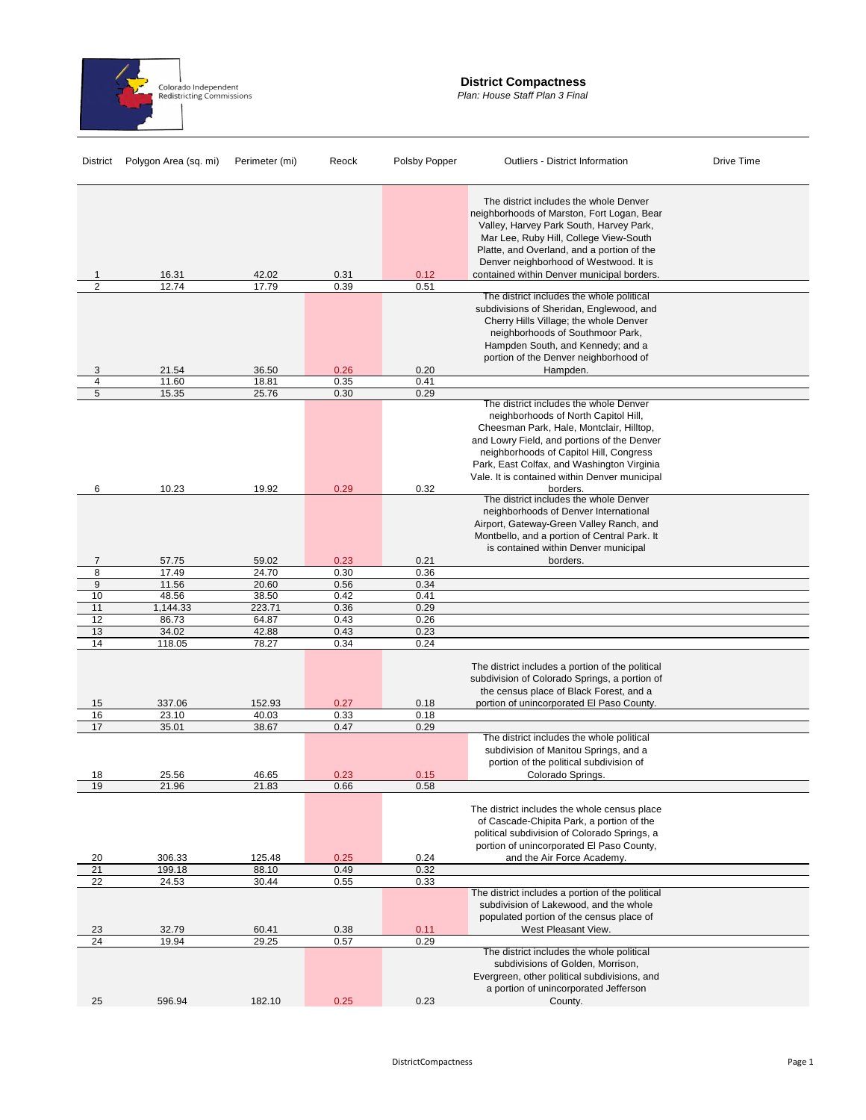

## **District Compactness**

*Plan: House Staff Plan 3 Final*

| <b>District</b> | Polygon Area (sq. mi) | Perimeter (mi)  | Reock        | Polsby Popper | <b>Outliers - District Information</b>                                                                                                                                                                                                                                                                              | Drive Time |
|-----------------|-----------------------|-----------------|--------------|---------------|---------------------------------------------------------------------------------------------------------------------------------------------------------------------------------------------------------------------------------------------------------------------------------------------------------------------|------------|
| 1               | 16.31                 | 42.02           | 0.31         | 0.12          | The district includes the whole Denver<br>neighborhoods of Marston, Fort Logan, Bear<br>Valley, Harvey Park South, Harvey Park,<br>Mar Lee, Ruby Hill, College View-South<br>Platte, and Overland, and a portion of the<br>Denver neighborhood of Westwood. It is<br>contained within Denver municipal borders.     |            |
| $\overline{2}$  | 12.74                 | 17.79           | 0.39         | 0.51          |                                                                                                                                                                                                                                                                                                                     |            |
| 3               | 21.54                 | 36.50           | 0.26         | 0.20          | The district includes the whole political<br>subdivisions of Sheridan, Englewood, and<br>Cherry Hills Village; the whole Denver<br>neighborhoods of Southmoor Park,<br>Hampden South, and Kennedy; and a<br>portion of the Denver neighborhood of<br>Hampden.                                                       |            |
| 4               | 11.60                 | 18.81           | 0.35         | 0.41          |                                                                                                                                                                                                                                                                                                                     |            |
| 5               | 15.35                 | 25.76           | 0.30         | 0.29          | The district includes the whole Denver<br>neighborhoods of North Capitol Hill,<br>Cheesman Park, Hale, Montclair, Hilltop,<br>and Lowry Field, and portions of the Denver<br>neighborhoods of Capitol Hill, Congress<br>Park, East Colfax, and Washington Virginia<br>Vale. It is contained within Denver municipal |            |
| 6               | 10.23                 | 19.92           | 0.29         | 0.32          | borders.                                                                                                                                                                                                                                                                                                            |            |
|                 |                       |                 |              |               | The district includes the whole Denver<br>neighborhoods of Denver International<br>Airport, Gateway-Green Valley Ranch, and<br>Montbello, and a portion of Central Park. It<br>is contained within Denver municipal                                                                                                 |            |
| 7               | 57.75                 | 59.02           | 0.23         | 0.21          | borders.                                                                                                                                                                                                                                                                                                            |            |
| 8               | 17.49                 | 24.70           | 0.30         | 0.36          |                                                                                                                                                                                                                                                                                                                     |            |
| 9               | 11.56                 | 20.60           | 0.56         | 0.34          |                                                                                                                                                                                                                                                                                                                     |            |
| 10              | 48.56                 | 38.50           | 0.42         | 0.41          |                                                                                                                                                                                                                                                                                                                     |            |
| 11              | 1,144.33              | 223.71          | 0.36         | 0.29          |                                                                                                                                                                                                                                                                                                                     |            |
| 12              | 86.73                 | 64.87           | 0.43         | 0.26          |                                                                                                                                                                                                                                                                                                                     |            |
| 13              | 34.02                 | 42.88           | 0.43         | 0.23          |                                                                                                                                                                                                                                                                                                                     |            |
| 14              | 118.05                | 78.27           | 0.34         | 0.24          |                                                                                                                                                                                                                                                                                                                     |            |
| 15<br>16        | 337.06<br>23.10       | 152.93<br>40.03 | 0.27<br>0.33 | 0.18<br>0.18  | The district includes a portion of the political<br>subdivision of Colorado Springs, a portion of<br>the census place of Black Forest, and a<br>portion of unincorporated El Paso County.                                                                                                                           |            |
| 17              | 35.01                 | 38.67           | 0.47         | 0.29          |                                                                                                                                                                                                                                                                                                                     |            |
| 18              | 25.56                 | 46.65           | 0.23         | 0.15          | The district includes the whole political<br>subdivision of Manitou Springs, and a<br>portion of the political subdivision of<br>Colorado Springs.                                                                                                                                                                  |            |
| 19              | 21.96                 | 21.83           | 0.66         | 0.58          |                                                                                                                                                                                                                                                                                                                     |            |
| 20              | 306.33                | 125.48          | 0.25         | 0.24          | The district includes the whole census place<br>of Cascade-Chipita Park, a portion of the<br>political subdivision of Colorado Springs, a<br>portion of unincorporated El Paso County,<br>and the Air Force Academy.                                                                                                |            |
| 21              | 199.18                | 88.10           | 0.49         | 0.32          |                                                                                                                                                                                                                                                                                                                     |            |
| 22              | 24.53                 | 30.44           | 0.55         | 0.33          |                                                                                                                                                                                                                                                                                                                     |            |
| 23              | 32.79                 | 60.41           | 0.38         | 0.11          | The district includes a portion of the political<br>subdivision of Lakewood, and the whole<br>populated portion of the census place of<br>West Pleasant View.                                                                                                                                                       |            |
| 24              | 19.94                 | 29.25           | 0.57         | 0.29          |                                                                                                                                                                                                                                                                                                                     |            |
| 25              | 596.94                | 182.10          | 0.25         | 0.23          | The district includes the whole political<br>subdivisions of Golden, Morrison,<br>Evergreen, other political subdivisions, and<br>a portion of unincorporated Jefferson                                                                                                                                             |            |
|                 |                       |                 |              |               | County.                                                                                                                                                                                                                                                                                                             |            |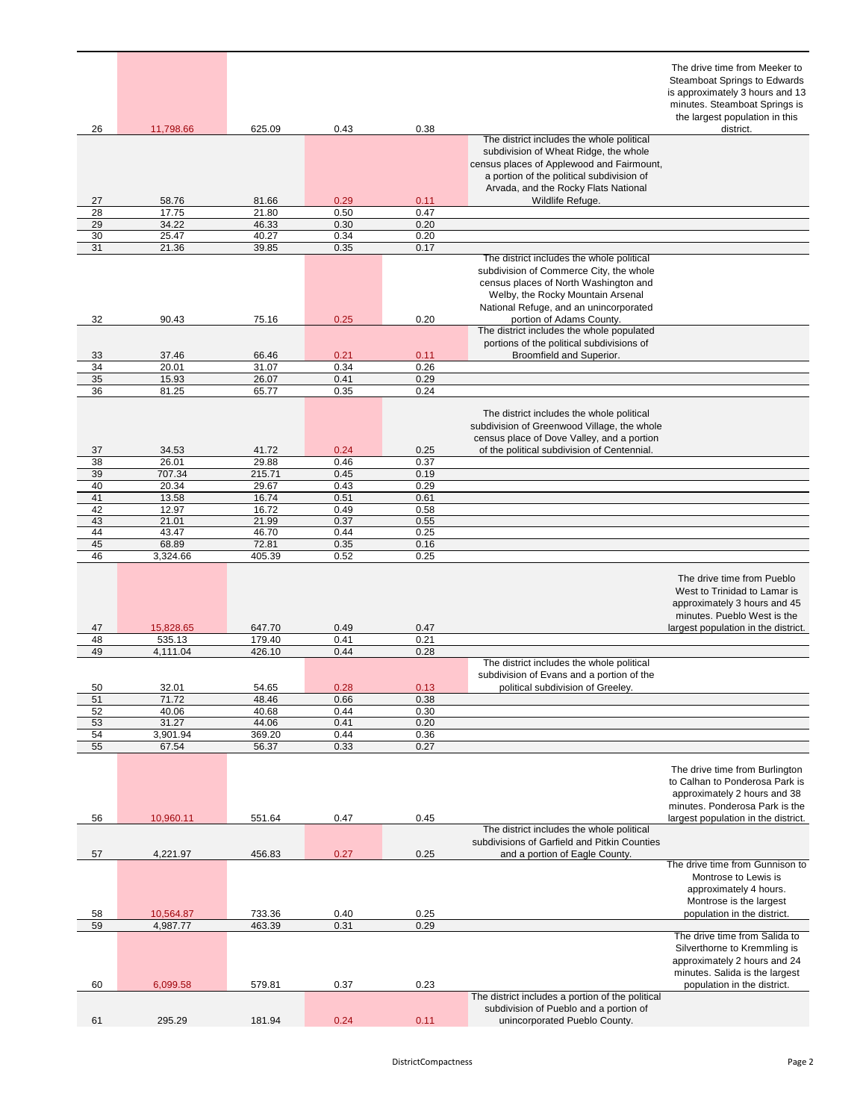|          |                |                |              |              |                                                                                                                                                                                                                                                                                       | The drive time from Meeker to<br><b>Steamboat Springs to Edwards</b><br>is approximately 3 hours and 13<br>minutes. Steamboat Springs is<br>the largest population in this |
|----------|----------------|----------------|--------------|--------------|---------------------------------------------------------------------------------------------------------------------------------------------------------------------------------------------------------------------------------------------------------------------------------------|----------------------------------------------------------------------------------------------------------------------------------------------------------------------------|
| 26       | 11,798.66      | 625.09         | 0.43         | 0.38         |                                                                                                                                                                                                                                                                                       | district.                                                                                                                                                                  |
| 27       | 58.76          | 81.66          | 0.29         | 0.11         | The district includes the whole political<br>subdivision of Wheat Ridge, the whole<br>census places of Applewood and Fairmount,<br>a portion of the political subdivision of<br>Arvada, and the Rocky Flats National<br>Wildlife Refuge.                                              |                                                                                                                                                                            |
| 28       | 17.75          | 21.80          | 0.50         | 0.47         |                                                                                                                                                                                                                                                                                       |                                                                                                                                                                            |
| 29       | 34.22          | 46.33          | 0.30         | 0.20         |                                                                                                                                                                                                                                                                                       |                                                                                                                                                                            |
| 30       | 25.47          | 40.27          | 0.34         | 0.20         |                                                                                                                                                                                                                                                                                       |                                                                                                                                                                            |
| 31       | 21.36          | 39.85          | 0.35         | 0.17         |                                                                                                                                                                                                                                                                                       |                                                                                                                                                                            |
| 32       | 90.43          | 75.16          | 0.25         | 0.20         | The district includes the whole political<br>subdivision of Commerce City, the whole<br>census places of North Washington and<br>Welby, the Rocky Mountain Arsenal<br>National Refuge, and an unincorporated<br>portion of Adams County.<br>The district includes the whole populated |                                                                                                                                                                            |
|          |                |                |              |              | portions of the political subdivisions of                                                                                                                                                                                                                                             |                                                                                                                                                                            |
| 33       | 37.46          | 66.46          | 0.21         | 0.11         | Broomfield and Superior.                                                                                                                                                                                                                                                              |                                                                                                                                                                            |
| 34       | 20.01          | 31.07          | 0.34         | 0.26         |                                                                                                                                                                                                                                                                                       |                                                                                                                                                                            |
| 35       | 15.93          | 26.07          | 0.41         | 0.29         |                                                                                                                                                                                                                                                                                       |                                                                                                                                                                            |
| 36       | 81.25          | 65.77          | 0.35         | 0.24         |                                                                                                                                                                                                                                                                                       |                                                                                                                                                                            |
|          | 34.53          | 41.72          | 0.24         | 0.25         | The district includes the whole political<br>subdivision of Greenwood Village, the whole<br>census place of Dove Valley, and a portion<br>of the political subdivision of Centennial.                                                                                                 |                                                                                                                                                                            |
| 37<br>38 | 26.01          | 29.88          | 0.46         | 0.37         |                                                                                                                                                                                                                                                                                       |                                                                                                                                                                            |
|          |                |                |              | 0.19         |                                                                                                                                                                                                                                                                                       |                                                                                                                                                                            |
| 39<br>40 | 707.34         | 215.71         | 0.45<br>0.43 | 0.29         |                                                                                                                                                                                                                                                                                       |                                                                                                                                                                            |
|          | 20.34          | 29.67          |              |              |                                                                                                                                                                                                                                                                                       |                                                                                                                                                                            |
| 41<br>42 | 13.58          | 16.74          | 0.51<br>0.49 | 0.61<br>0.58 |                                                                                                                                                                                                                                                                                       |                                                                                                                                                                            |
| 43       | 12.97<br>21.01 | 16.72<br>21.99 | 0.37         | 0.55         |                                                                                                                                                                                                                                                                                       |                                                                                                                                                                            |
| 44       | 43.47          | 46.70          | 0.44         | 0.25         |                                                                                                                                                                                                                                                                                       |                                                                                                                                                                            |
| 45       | 68.89          | 72.81          | 0.35         | 0.16         |                                                                                                                                                                                                                                                                                       |                                                                                                                                                                            |
| 46       | 3,324.66       | 405.39         | 0.52         | 0.25         |                                                                                                                                                                                                                                                                                       |                                                                                                                                                                            |
| 47       | 15,828.65      | 647.70         | 0.49         | 0.47         |                                                                                                                                                                                                                                                                                       | The drive time from Pueblo<br>West to Trinidad to Lamar is<br>approximately 3 hours and 45<br>minutes. Pueblo West is the<br>largest population in the district.           |
| 48       | 535.13         | 179.40         | 0.41         | 0.21         |                                                                                                                                                                                                                                                                                       |                                                                                                                                                                            |
| 49       | 4,111.04       | 426.10         | 0.44         | 0.28         |                                                                                                                                                                                                                                                                                       |                                                                                                                                                                            |
| 50       | 32.01          | 54.65          | 0.28         | 0.13         | The district includes the whole political<br>subdivision of Evans and a portion of the<br>political subdivision of Greeley.                                                                                                                                                           |                                                                                                                                                                            |
| 51       | 71.72          | 48.46          | 0.66         | 0.38         |                                                                                                                                                                                                                                                                                       |                                                                                                                                                                            |
| 52       | 40.06          | 40.68          | 0.44         | 0.30         |                                                                                                                                                                                                                                                                                       |                                                                                                                                                                            |
| 53       | 31.27          | 44.06          | 0.41         | 0.20         |                                                                                                                                                                                                                                                                                       |                                                                                                                                                                            |
| 54       | 3,901.94       | 369.20         | 0.44         | 0.36         |                                                                                                                                                                                                                                                                                       |                                                                                                                                                                            |
| 55       | 67.54          | 56.37          | 0.33         | 0.27         |                                                                                                                                                                                                                                                                                       |                                                                                                                                                                            |
|          |                |                |              |              |                                                                                                                                                                                                                                                                                       | The drive time from Burlington<br>to Calhan to Ponderosa Park is<br>approximately 2 hours and 38<br>minutes. Ponderosa Park is the                                         |
| 56       | 10,960.11      | 551.64         | 0.47         | 0.45         |                                                                                                                                                                                                                                                                                       | largest population in the district.                                                                                                                                        |
| 57       | 4,221.97       | 456.83         | 0.27         | 0.25         | The district includes the whole political<br>subdivisions of Garfield and Pitkin Counties<br>and a portion of Eagle County.                                                                                                                                                           |                                                                                                                                                                            |
| 58       | 10,564.87      | 733.36         | 0.40         | 0.25         |                                                                                                                                                                                                                                                                                       | The drive time from Gunnison to<br>Montrose to Lewis is<br>approximately 4 hours.<br>Montrose is the largest<br>population in the district.                                |
| 59       | 4,987.77       | 463.39         | 0.31         | 0.29         |                                                                                                                                                                                                                                                                                       |                                                                                                                                                                            |
| 60       | 6,099.58       | 579.81         | 0.37         | 0.23         |                                                                                                                                                                                                                                                                                       | The drive time from Salida to<br>Silverthorne to Kremmling is<br>approximately 2 hours and 24<br>minutes. Salida is the largest<br>population in the district.             |
|          |                |                |              |              | The district includes a portion of the political                                                                                                                                                                                                                                      |                                                                                                                                                                            |
| 61       | 295.29         | 181.94         | 0.24         | 0.11         | subdivision of Pueblo and a portion of<br>unincorporated Pueblo County.                                                                                                                                                                                                               |                                                                                                                                                                            |